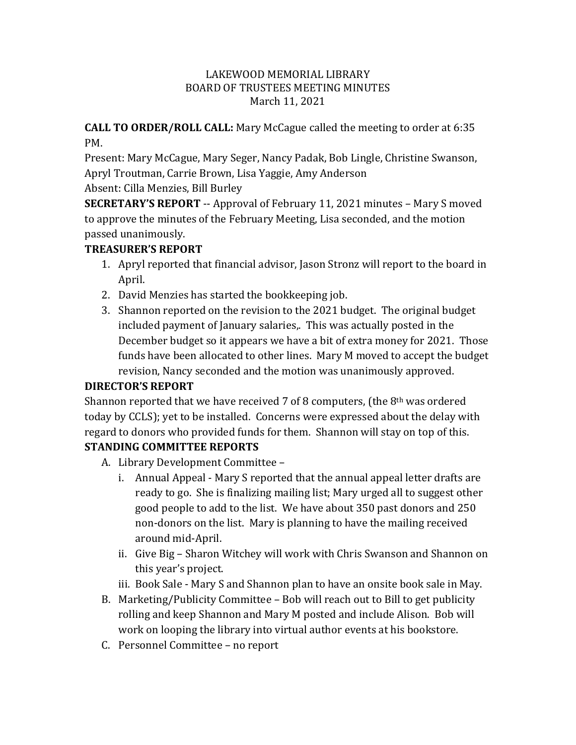#### LAKEWOOD MEMORIAL LIBRARY BOARD OF TRUSTEES MEETING MINUTES March 11, 2021

#### **CALL TO ORDER/ROLL CALL:** Mary McCague called the meeting to order at 6:35 PM.

Present: Mary McCague, Mary Seger, Nancy Padak, Bob Lingle, Christine Swanson, Apryl Troutman, Carrie Brown, Lisa Yaggie, Amy Anderson Absent: Cilla Menzies, Bill Burley

**SECRETARY'S REPORT** -- Approval of February 11, 2021 minutes – Mary S moved to approve the minutes of the February Meeting, Lisa seconded, and the motion passed unanimously.

### **TREASURER'S REPORT**

- 1. Apryl reported that financial advisor, Jason Stronz will report to the board in April.
- 2. David Menzies has started the bookkeeping job.
- 3. Shannon reported on the revision to the 2021 budget. The original budget included payment of January salaries,. This was actually posted in the December budget so it appears we have a bit of extra money for 2021. Those funds have been allocated to other lines. Mary M moved to accept the budget revision, Nancy seconded and the motion was unanimously approved.

# **DIRECTOR'S REPORT**

Shannon reported that we have received 7 of 8 computers, (the  $8<sup>th</sup>$  was ordered today by CCLS); yet to be installed. Concerns were expressed about the delay with regard to donors who provided funds for them. Shannon will stay on top of this.

# **STANDING COMMITTEE REPORTS**

- A. Library Development Committee
	- i. Annual Appeal Mary S reported that the annual appeal letter drafts are ready to go. She is finalizing mailing list; Mary urged all to suggest other good people to add to the list. We have about 350 past donors and 250 non-donors on the list. Mary is planning to have the mailing received around mid-April.
	- ii. Give Big Sharon Witchey will work with Chris Swanson and Shannon on this year's project.
	- iii. Book Sale Mary S and Shannon plan to have an onsite book sale in May.
- B. Marketing/Publicity Committee Bob will reach out to Bill to get publicity rolling and keep Shannon and Mary M posted and include Alison. Bob will work on looping the library into virtual author events at his bookstore.
- C. Personnel Committee no report